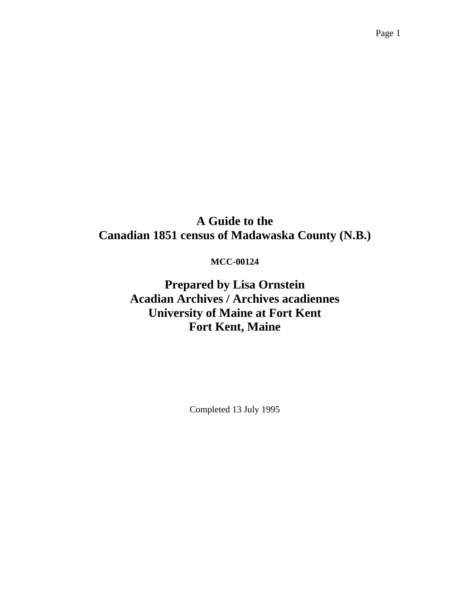# **A Guide to the Canadian 1851 census of Madawaska County (N.B.)**

## **MCC-00124**

**Prepared by Lisa Ornstein Acadian Archives / Archives acadiennes University of Maine at Fort Kent Fort Kent, Maine** 

Completed 13 July 1995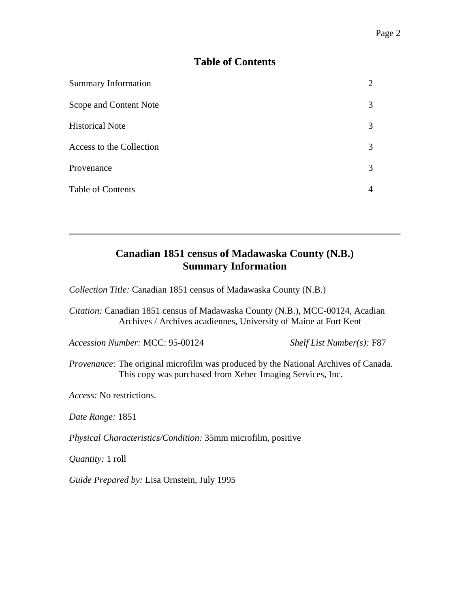## **Table of Contents**

| <b>Summary Information</b> |   |
|----------------------------|---|
| Scope and Content Note     | 3 |
| <b>Historical Note</b>     | 3 |
| Access to the Collection   | 3 |
| Provenance                 | 3 |
| <b>Table of Contents</b>   |   |

# **Canadian 1851 census of Madawaska County (N.B.) Summary Information**

*Collection Title:* Canadian 1851 census of Madawaska County (N.B.)

*Citation:* Canadian 1851 census of Madawaska County (N.B.), MCC-00124, Acadian Archives / Archives acadiennes, University of Maine at Fort Kent

*Accession Number:* MCC: 95-00124 *Shelf List Number(s):* F87

*Provenance:* The original microfilm was produced by the National Archives of Canada. This copy was purchased from Xebec Imaging Services, Inc.

*Access:* No restrictions.

*Date Range:* 1851

*Physical Characteristics/Condition:* 35mm microfilm, positive

*Quantity:* 1 roll

*Guide Prepared by:* Lisa Ornstein, July 1995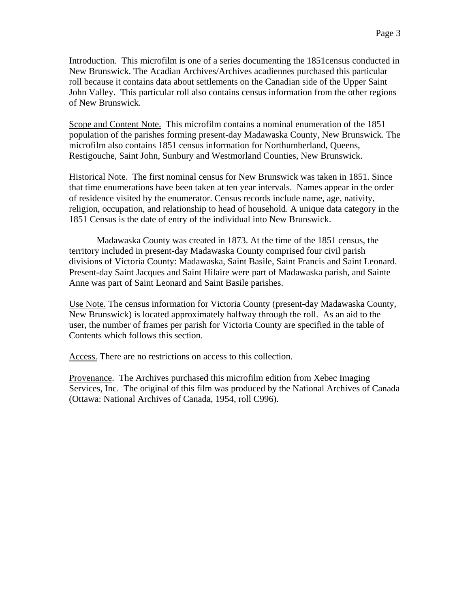Introduction. This microfilm is one of a series documenting the 1851census conducted in New Brunswick. The Acadian Archives/Archives acadiennes purchased this particular roll because it contains data about settlements on the Canadian side of the Upper Saint John Valley. This particular roll also contains census information from the other regions of New Brunswick.

Scope and Content Note. This microfilm contains a nominal enumeration of the 1851 population of the parishes forming present-day Madawaska County, New Brunswick. The microfilm also contains 1851 census information for Northumberland, Queens, Restigouche, Saint John, Sunbury and Westmorland Counties, New Brunswick.

Historical Note. The first nominal census for New Brunswick was taken in 1851. Since that time enumerations have been taken at ten year intervals. Names appear in the order of residence visited by the enumerator. Census records include name, age, nativity, religion, occupation, and relationship to head of household. A unique data category in the 1851 Census is the date of entry of the individual into New Brunswick.

 Madawaska County was created in 1873. At the time of the 1851 census, the territory included in present-day Madawaska County comprised four civil parish divisions of Victoria County: Madawaska, Saint Basile, Saint Francis and Saint Leonard. Present-day Saint Jacques and Saint Hilaire were part of Madawaska parish, and Sainte Anne was part of Saint Leonard and Saint Basile parishes.

Use Note. The census information for Victoria County (present-day Madawaska County, New Brunswick) is located approximately halfway through the roll. As an aid to the user, the number of frames per parish for Victoria County are specified in the table of Contents which follows this section.

Access. There are no restrictions on access to this collection.

Provenance. The Archives purchased this microfilm edition from Xebec Imaging Services, Inc. The original of this film was produced by the National Archives of Canada (Ottawa: National Archives of Canada, 1954, roll C996).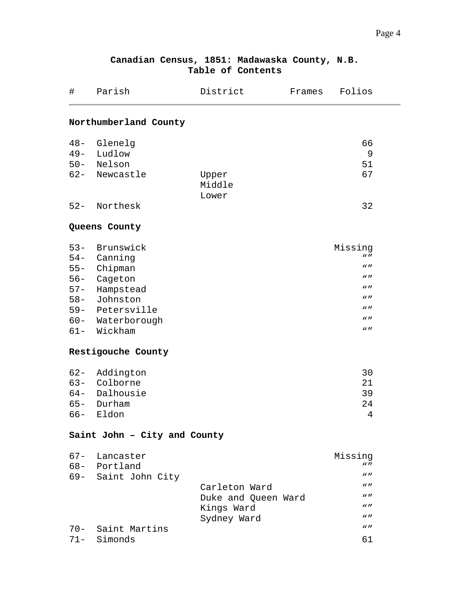| $\#$                         | Parish              | District            | Frames | Folios             |  |  |  |  |  |
|------------------------------|---------------------|---------------------|--------|--------------------|--|--|--|--|--|
| Northumberland County        |                     |                     |        |                    |  |  |  |  |  |
| $48 -$                       | Glenelg             |                     |        | 66                 |  |  |  |  |  |
| $49 -$                       | Ludlow              |                     |        | 9                  |  |  |  |  |  |
|                              | 50- Nelson          |                     |        | 51                 |  |  |  |  |  |
|                              | 62- Newcastle       | Upper               |        | 67                 |  |  |  |  |  |
|                              |                     | Middle              |        |                    |  |  |  |  |  |
|                              |                     | Lower               |        |                    |  |  |  |  |  |
| $52 -$                       | Northesk            |                     |        | 32                 |  |  |  |  |  |
|                              |                     |                     |        |                    |  |  |  |  |  |
|                              | Queens County       |                     |        |                    |  |  |  |  |  |
|                              | 53- Brunswick       |                     |        | Missing            |  |  |  |  |  |
|                              | 54- Canning         |                     |        | $W$ $H$            |  |  |  |  |  |
|                              | 55- Chipman         |                     |        | $W$ $H$            |  |  |  |  |  |
|                              | 56- Cageton         |                     |        | $W$ $H$            |  |  |  |  |  |
| $57 -$                       | Hampstead           |                     |        | $\mathbf{w}$       |  |  |  |  |  |
| $58 -$                       | Johnston            |                     |        | $W$ $H$            |  |  |  |  |  |
|                              | 59- Petersville     |                     |        | $W$ $H$            |  |  |  |  |  |
|                              | 60- Waterborough    |                     |        | $\mathbf{w}$       |  |  |  |  |  |
| $61 -$                       | Wickham             |                     |        | $\mathbf{w}$       |  |  |  |  |  |
| Restigouche County           |                     |                     |        |                    |  |  |  |  |  |
| $62 -$                       | Addington           |                     |        | 30                 |  |  |  |  |  |
|                              | 63- Colborne        |                     |        | 21                 |  |  |  |  |  |
|                              | 64- Dalhousie       |                     |        | 39                 |  |  |  |  |  |
| $65 -$                       | Durham              |                     |        | 24                 |  |  |  |  |  |
| $66 -$                       | Eldon               |                     |        | $\overline{4}$     |  |  |  |  |  |
| Saint John - City and County |                     |                     |        |                    |  |  |  |  |  |
|                              | 67- Lancaster       |                     |        | Missing            |  |  |  |  |  |
|                              | 68- Portland        |                     |        | $W$ $H$            |  |  |  |  |  |
|                              | 69- Saint John City |                     |        | $W$ $\prime\prime$ |  |  |  |  |  |
|                              |                     | Carleton Ward       |        | $W$ $\prime\prime$ |  |  |  |  |  |
|                              |                     | Duke and Queen Ward |        | $W$ $\prime\prime$ |  |  |  |  |  |
|                              |                     | Kings Ward          |        | $W$ $\prime\prime$ |  |  |  |  |  |
|                              |                     | Sydney Ward         |        | $\mathbf{w}$       |  |  |  |  |  |
|                              | 70- Saint Martins   |                     |        | $W$ $H$            |  |  |  |  |  |
|                              | 71- Simonds         |                     |        | 61                 |  |  |  |  |  |
|                              |                     |                     |        |                    |  |  |  |  |  |

### **Canadian Census, 1851: Madawaska County, N.B. Table of Contents**